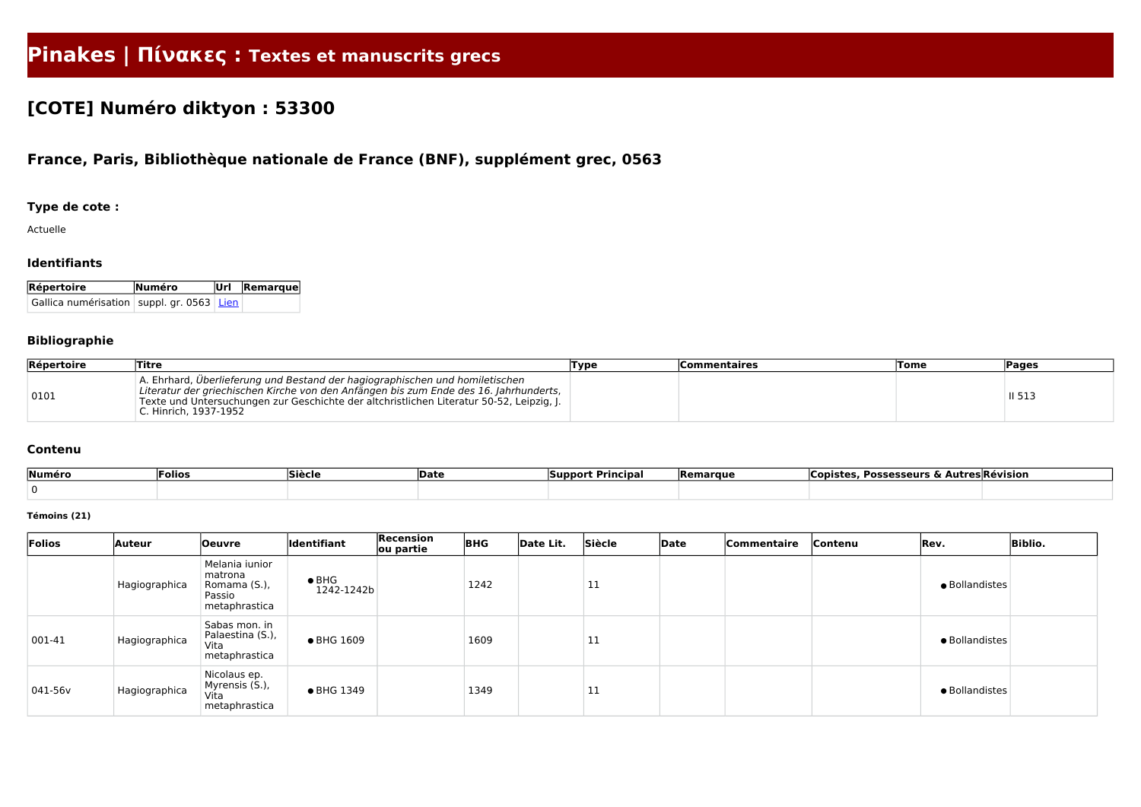# **Pinakes | Πίνακες : Textes et manuscrits grecs**

## **[COTE] Numéro diktyon : 53300**

### **France, Paris, Bibliothèque nationale de France (BNF), supplément grec, 0563**

#### **Type de cote :**

Actuelle

#### **Identifiants**

| Répertoire                                    | Numéro | Url Remarque |  |  |
|-----------------------------------------------|--------|--------------|--|--|
| Gallica numérisation   suppl. gr. 0563   Lien |        |              |  |  |

#### **Bibliographie**

| Répertoire | <b>Titre</b>                                                                                                                                                                                                                                                                               | Туре | <b>Commentaires</b> | <b>Tome</b> | <b>Pages</b> |
|------------|--------------------------------------------------------------------------------------------------------------------------------------------------------------------------------------------------------------------------------------------------------------------------------------------|------|---------------------|-------------|--------------|
| 0101       | A. Ehrhard, Überlieferung und Bestand der hagiographischen und homiletischen<br>Literatur der griechischen Kirche von den Anfängen bis zum Ende des 16. Jahrhunderts,<br>Texte und Untersuchungen zur Geschichte der altchristlichen Literatur 50-52, Leipzig, J.<br>C. Hinrich, 1937-1952 |      |                     |             | II 513       |

#### **Contenu**

| Numéro | <b>Folios</b> | Siècle | <b>Date</b> | __<br>: Principal<br>Support | <b>Remarque</b> | <b>Possesseurs &amp; /</b><br>∟opist≏ | ، Autres Révision |
|--------|---------------|--------|-------------|------------------------------|-----------------|---------------------------------------|-------------------|
|        |               |        |             |                              |                 |                                       |                   |

#### **Témoins (21)**

| Folios     | Auteur        | <b>Oeuvre</b>                                                        | <b>Identifiant</b>          | Recension<br>ou partie | <b>BHG</b> | Date Lit. | Siècle | Date | Commentaire | Contenu | Rev.           | <b>Biblio.</b> |
|------------|---------------|----------------------------------------------------------------------|-----------------------------|------------------------|------------|-----------|--------|------|-------------|---------|----------------|----------------|
|            | Hagiographica | Melania iunior<br>matrona<br>Romama (S.),<br>Passio<br>metaphrastica | $\bullet$ BHG<br>1242-1242b |                        | 1242       |           | 11     |      |             |         | · Bollandistes |                |
| 001-41     | Hagiographica | Sabas mon. in<br>Palaestina (S.),<br>Vita<br>metaphrastica           | ● BHG 1609                  |                        | 1609       |           | 11     |      |             |         | · Bollandistes |                |
| $ 041-56v$ | Hagiographica | Nicolaus ep.<br>Myrensis (S.),<br>Vita<br>metaphrastica              | • BHG 1349                  |                        | 1349       |           | 11     |      |             |         | · Bollandistes |                |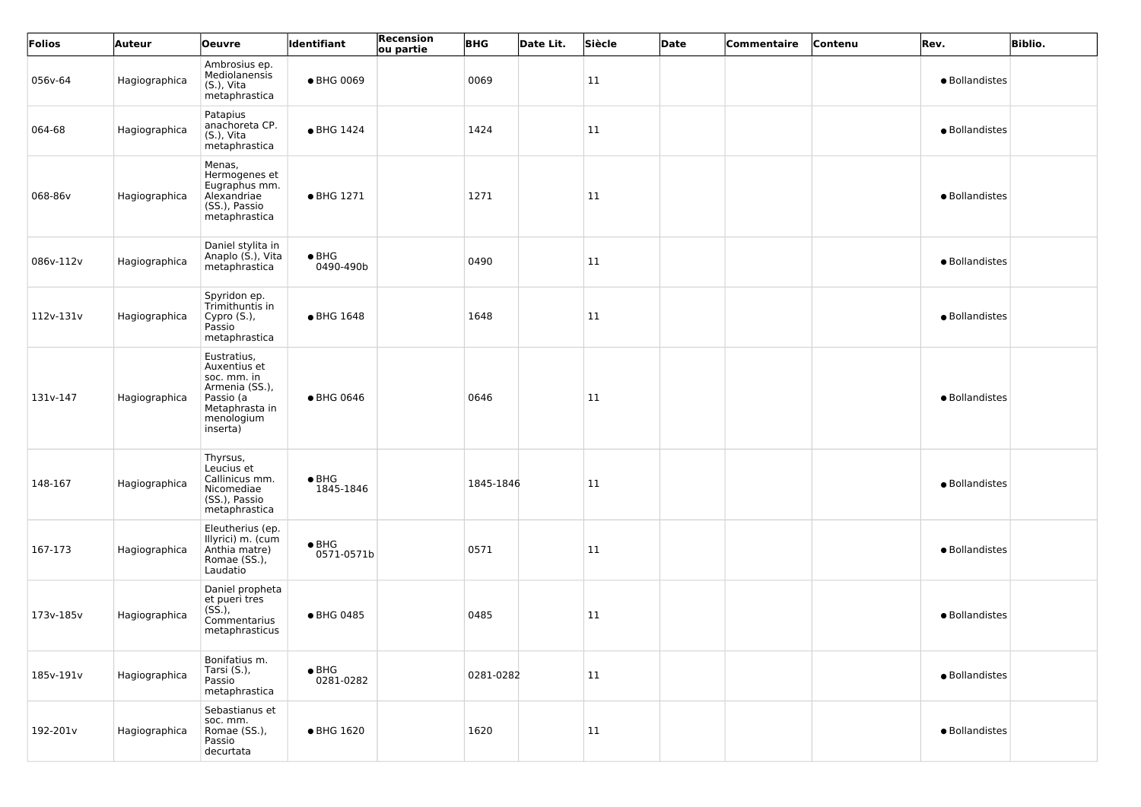| Folios    | Auteur        | <b>Oeuvre</b>                                                                                                         | Identifiant                 | Recension<br>ou partie | <b>BHG</b> | Date Lit. | Siècle | Date | Commentaire | Contenu | Rev.           | <b>Biblio.</b> |
|-----------|---------------|-----------------------------------------------------------------------------------------------------------------------|-----------------------------|------------------------|------------|-----------|--------|------|-------------|---------|----------------|----------------|
| 056v-64   | Hagiographica | Ambrosius ep.<br>Mediolanensis<br>(S.), Vita<br>metaphrastica                                                         | ● BHG 0069                  |                        | 0069       |           | 11     |      |             |         | · Bollandistes |                |
| 064-68    | Hagiographica | Patapius<br>anachoreta CP.<br>(S.), Vita<br>metaphrastica                                                             | • BHG 1424                  |                        | 1424       |           | 11     |      |             |         | · Bollandistes |                |
| 068-86v   | Hagiographica | Menas,<br>Hermogenes et<br>Eugraphus mm.<br>Alexandriae<br>(SS.), Passio<br>metaphrastica                             | • BHG 1271                  |                        | 1271       |           | 11     |      |             |         | · Bollandistes |                |
| 086v-112v | Hagiographica | Daniel stylita in<br>Anaplo (S.), Vita<br>metaphrastica                                                               | $\bullet$ BHG<br>0490-490b  |                        | 0490       |           | 11     |      |             |         | · Bollandistes |                |
| 112v-131v | Hagiographica | Spyridon ep.<br>Trimithuntis in<br>Cypro (S.),<br>Passio<br>metaphrastica                                             | • BHG 1648                  |                        | 1648       |           | 11     |      |             |         | · Bollandistes |                |
| 131v-147  | Hagiographica | Eustratius,<br>Auxentius et<br>soc. mm. in<br>Armenia (SS.),<br>Passio (a<br>Metaphrasta in<br>menologium<br>inserta) | ● BHG 0646                  |                        | 0646       |           | 11     |      |             |         | · Bollandistes |                |
| 148-167   | Hagiographica | Thyrsus,<br>Leucius et<br>Callinicus mm.<br>Nicomediae<br>(SS.), Passio<br>metaphrastica                              | $\bullet$ BHG<br>1845-1846  |                        | 1845-1846  |           | 11     |      |             |         | · Bollandistes |                |
| 167-173   | Hagiographica | Eleutherius (ep.<br>Illyrici) m. (cum<br>Anthia matre)<br>Romae (SS.),<br>Laudatio                                    | $\bullet$ BHG<br>0571-0571b |                        | 0571       |           | 11     |      |             |         | · Bollandistes |                |
| 173v-185v | Hagiographica | Daniel propheta<br>et pueri tres<br>$(S\dot{S}.),$<br>Commentarius<br>metaphrasticus                                  | ● BHG 0485                  |                        | 0485       |           | 11     |      |             |         | · Bollandistes |                |
| 185v-191v | Hagiographica | Bonifatius m.<br>Tarsi (S.),<br>Passio<br>metaphrastica                                                               | $\bullet$ BHG<br>0281-0282  |                        | 0281-0282  |           | 11     |      |             |         | · Bollandistes |                |
| 192-201v  | Hagiographica | Sebastianus et<br>soc. mm.<br>Romae (SS.),<br>Passio<br>decurtata                                                     | • BHG 1620                  |                        | 1620       |           | 11     |      |             |         | · Bollandistes |                |